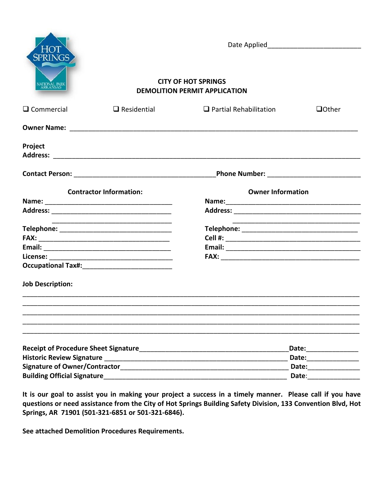| HO<br><b>SPRINGS</b>                        |                                                                    |                               |                |
|---------------------------------------------|--------------------------------------------------------------------|-------------------------------|----------------|
| <b>VATIONAL PARK</b><br>ARKANSAS            | <b>CITY OF HOT SPRINGS</b><br><b>DEMOLITION PERMIT APPLICATION</b> |                               |                |
| $\Box$ Commercial                           | $\Box$ Residential                                                 | $\Box$ Partial Rehabilitation | <b>Q</b> Other |
|                                             |                                                                    |                               |                |
| Project                                     |                                                                    |                               |                |
|                                             |                                                                    |                               |                |
| <b>Contractor Information:</b>              |                                                                    | <b>Owner Information</b>      |                |
|                                             |                                                                    |                               |                |
|                                             |                                                                    |                               |                |
|                                             |                                                                    |                               |                |
|                                             |                                                                    |                               |                |
|                                             |                                                                    |                               |                |
|                                             |                                                                    |                               |                |
|                                             |                                                                    |                               |                |
| <b>Job Description:</b>                     |                                                                    |                               |                |
|                                             |                                                                    |                               |                |
|                                             |                                                                    |                               |                |
| <b>Receipt of Procedure Sheet Signature</b> |                                                                    | Date: ____________            |                |
| <b>Historic Review Signature</b>            |                                                                    | Date: <u>_______</u>          |                |
|                                             | Signature of Owner/Contractor Signature of Owner/                  | Date:                         |                |
| <b>Building Official Signature</b>          |                                                                    | Date:                         |                |

**It is our goal to assist you in making your project a success in a timely manner. Please call if you have questions or need assistance from the City of Hot Springs Building Safety Division, 133 Convention Blvd, Hot Springs, AR 71901 (501-321-6851 or 501-321-6846).**

**See attached Demolition Procedures Requirements.**